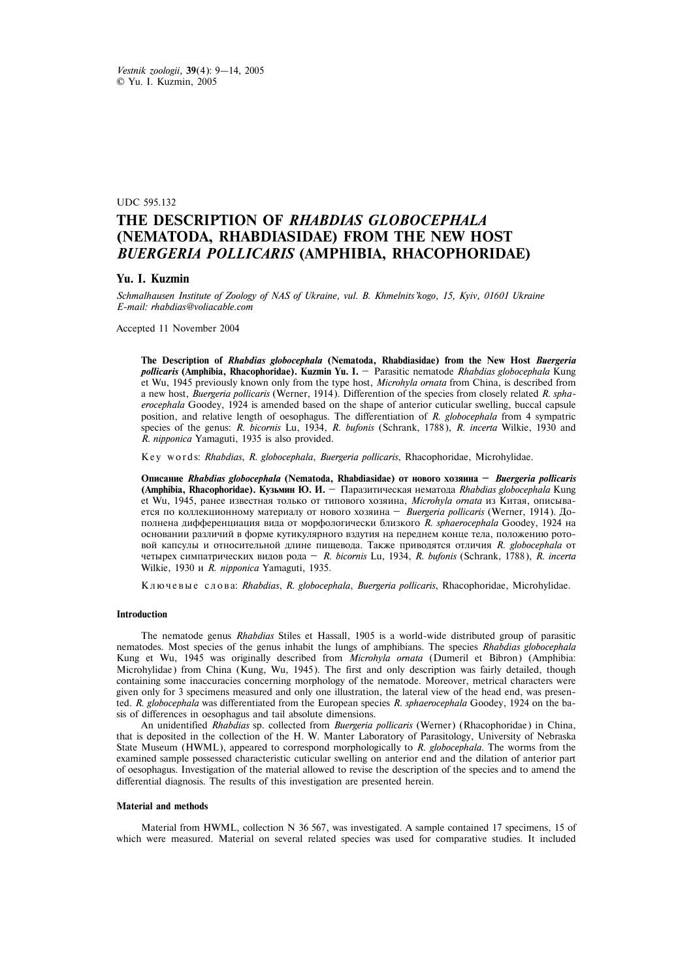UDC 595.132

# **THE DESCRIPTION OF** *RHABDIAS GLOBOCEPHALA* **(NEMATODA, RHABDIASIDAE) FROM THE NEW HOST** *BUERGERIA POLLICARIS* **(AMPHIBIA, RHACOPHORIDAE)**

### **Yu. I. Kuzmin**

*Schmalhausen Institute of Zoology of NAS of Ukraine, vul. B. Khmelnits'kogo, 15, Kyiv, 01601 Ukraine E-mail: rhabdias@voliacable.com*

Accepted 11 November 2004

**The Description of** *Rhabdias globocephala* **(Nematoda, Rhabdiasidae) from the New Host** *Buergeria pollicaris* **(Amphibia, Rhacophoridae). Kuzmin Yu. I.** — Parasitic nematode *Rhabdias globocephala* Kung et Wu, 1945 previously known only from the type host, *Microhyla ornata* from China, is described from a new host, *Buergeria pollicaris* (Werner, 1914). Differention of the species from closely related *R. sphaerocephala* Goodey, 1924 is amended based on the shape of anterior cuticular swelling, buccal capsule position, and relative length of oesophagus. The differentiation of *R. globocephala* from 4 sympatric species of the genus: *R. bicornis* Lu, 1934, *R. bufonis* (Schrank, 1788), *R. incerta* Wilkie, 1930 and *R. nipponica* Yamaguti, 1935 is also provided.

K e y w o r d s: *Rhabdias*, *R. globocephala*, *Buergeria pollicaris*, Rhacophoridae, Microhylidae.

**Описание Rhabdias globocephala (Nematoda, Rhabdiasidae) от нового хозяина — Buergeria pollicaris** (Amphibia, Rhacophoridae). Кузьмин Ю. И. - Паразитическая нематода *Rhabdias globocephala* Kung et Wu, 1945, ранее известная только от типового хозяина, *Microhyla ornata* из Китая, описывается по коллекционному материалу от нового хозяина - Buergeria pollicaris (Werner, 1914). Дополнена дифференциация вида от морфологически близкого *R. sphaerocephala* Goodey, 1924 на основании различий в форме кутикулярного вздутия на переднем конце тела, положению ротовой капсулы и относительной длине пищевода. Также приводятся отличия *R. globocephala* от ÷åòûðåõ ñèìïàòðè÷åñêèõ âèäîâ ðîäà — *R. bicornis* Lu, 1934, *R. bufonis* (Schrank, 1788), *R. incerta* Wilkie, 1930 è *R. nipponica* Yamaguti, 1935.

Ê ë þ ÷ å â û å ñ ë î â à: *Rhabdias*, *R. globocephala*, *Buergeria pollicaris*, Rhacophoridae, Microhylidae.

#### **Introduction**

The nematode genus *Rhabdias* Stiles et Hassall, 1905 is a world-wide distributed group of parasitic nematodes. Most species of the genus inhabit the lungs of amphibians. The species *Rhabdias globocephala* Kung et Wu, 1945 was originally described from *Microhyla ornata* (Dumeril et Bibron) (Amphibia: Microhylidae) from China (Kung, Wu, 1945). The first and only description was fairly detailed, though containing some inaccuracies concerning morphology of the nematode. Moreover, metrical characters were given only for 3 specimens measured and only one illustration, the lateral view of the head end, was presented. *R. globocephala* was differentiated from the European species *R. sphaerocephala* Goodey, 1924 on the basis of differences in oesophagus and tail absolute dimensions.

An unidentified *Rhabdias* sp. collected from *Buergeria pollicaris* (Werner) (Rhacophoridae) in China, that is deposited in the collection of the H. W. Manter Laboratory of Parasitology, University of Nebraska State Museum (HWML), appeared to correspond morphologically to *R. globocephala*. The worms from the examined sample possessed characteristic cuticular swelling on anterior end and the dilation of anterior part of oesophagus. Investigation of the material allowed to revise the description of the species and to amend the differential diagnosis. The results of this investigation are presented herein.

#### **Material and methods**

Material from HWML, collection N 36 567, was investigated. A sample contained 17 specimens, 15 of which were measured. Material on several related species was used for comparative studies. It included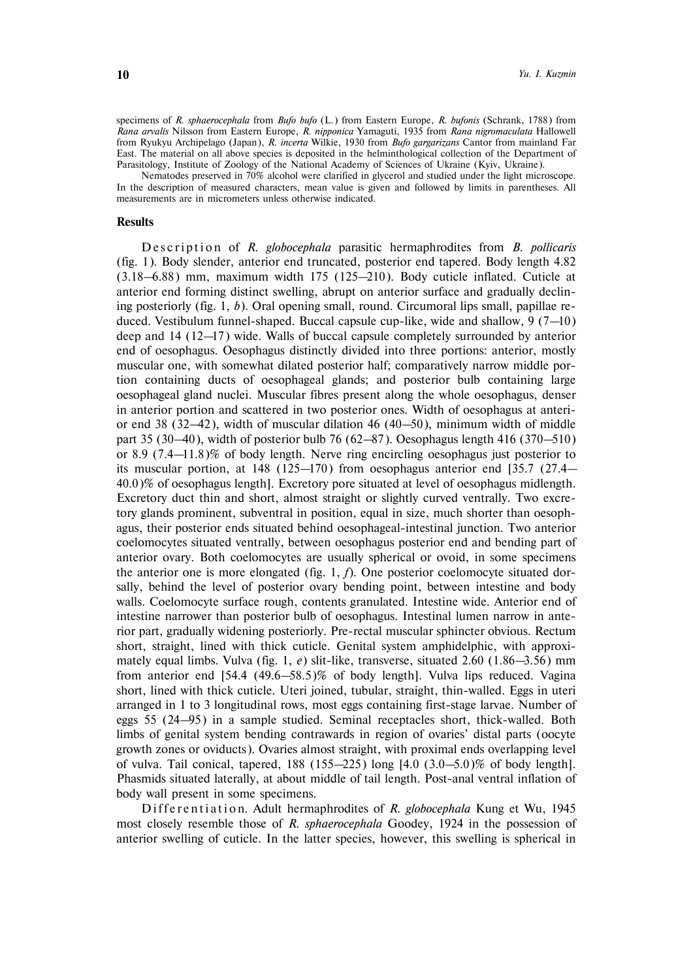specimens of *R. sphaerocephala* from *Bufo bufo* (L.) from Eastern Europe, *R. bufonis* (Schrank, 1788) from *Rana arvalis* Nilsson from Eastern Europe, *R. nipponica* Yamaguti, 1935 from *Rana nigromaculata* Hallowell from Ryukyu Archipelago (Japan), *R. incerta* Wilkie, 1930 from *Bufo gargarizans* Cantor from mainland Far East. The material on all above species is deposited in the helminthological collection of the Department of Parasitology, Institute of Zoology of the National Academy of Sciences of Ukraine (Kyiv, Ukraine).

Nematodes preserved in 70% alcohol were clarified in glycerol and studied under the light microscope. In the description of measured characters, mean value is given and followed by limits in parentheses. All measurements are in micrometers unless otherwise indicated.

## **Results**

Description of *R. globocephala* parasitic hermaphrodites from *B. pollicaris* (fig. 1). Body slender, anterior end truncated, posterior end tapered. Body length 4.82 (3.18–6.88) mm, maximum width 175 (125–210). Body cuticle inflated. Cuticle at anterior end forming distinct swelling, abrupt on anterior surface and gradually declining posteriorly (fig. 1, *b*). Oral opening small, round. Circumoral lips small, papillae reduced. Vestibulum funnel-shaped. Buccal capsule cup-like, wide and shallow, 9 (7–10) deep and 14 (12–17) wide. Walls of buccal capsule completely surrounded by anterior end of oesophagus. Oesophagus distinctly divided into three portions: anterior, mostly muscular one, with somewhat dilated posterior half; comparatively narrow middle portion containing ducts of oesophageal glands; and posterior bulb containing large oesophageal gland nuclei. Muscular fibres present along the whole oesophagus, denser in anterior portion and scattered in two posterior ones. Width of oesophagus at anterior end 38 (32–42), width of muscular dilation 46 (40–50), minimum width of middle part 35 (30–40), width of posterior bulb 76 (62–87). Oesophagus length 416 (370–510) or 8.9 (7.4–11.8)% of body length. Nerve ring encircling oesophagus just posterior to its muscular portion, at 148 (125–170) from oesophagus anterior end [35.7 (27.4– 40.0)% of oesophagus length]. Excretory pore situated at level of oesophagus midlength. Excretory duct thin and short, almost straight or slightly curved ventrally. Two excretory glands prominent, subventral in position, equal in size, much shorter than oesophagus, their posterior ends situated behind oesophageal-intestinal junction. Two anterior coelomocytes situated ventrally, between oesophagus posterior end and bending part of anterior ovary. Both coelomocytes are usually spherical or ovoid, in some specimens the anterior one is more elongated (fig. 1, *f*). One posterior coelomocyte situated dorsally, behind the level of posterior ovary bending point, between intestine and body walls. Coelomocyte surface rough, contents granulated. Intestine wide. Anterior end of intestine narrower than posterior bulb of oesophagus. Intestinal lumen narrow in anterior part, gradually widening posteriorly. Pre-rectal muscular sphincter obvious. Rectum short, straight, lined with thick cuticle. Genital system amphidelphic, with approximately equal limbs. Vulva (fig. 1, *e*) slit-like, transverse, situated 2.60 (1.86–3.56) mm from anterior end [54.4 (49.6–58.5)% of body length]. Vulva lips reduced. Vagina short, lined with thick cuticle. Uteri joined, tubular, straight, thin-walled. Eggs in uteri arranged in 1 to 3 longitudinal rows, most eggs containing first-stage larvae. Number of eggs 55 (24–95) in a sample studied. Seminal receptacles short, thick-walled. Both limbs of genital system bending contrawards in region of ovaries' distal parts (oocyte growth zones or oviducts). Ovaries almost straight, with proximal ends overlapping level of vulva. Tail conical, tapered, 188 (155–225) long [4.0 (3.0–5.0)% of body length]. Phasmids situated laterally, at about middle of tail length. Post-anal ventral inflation of body wall present in some specimens.

Differentiation. Adult hermaphrodites of *R. globocephala* Kung et Wu, 1945 most closely resemble those of *R. sphaerocephala* Goodey, 1924 in the possession of anterior swelling of cuticle. In the latter species, however, this swelling is spherical in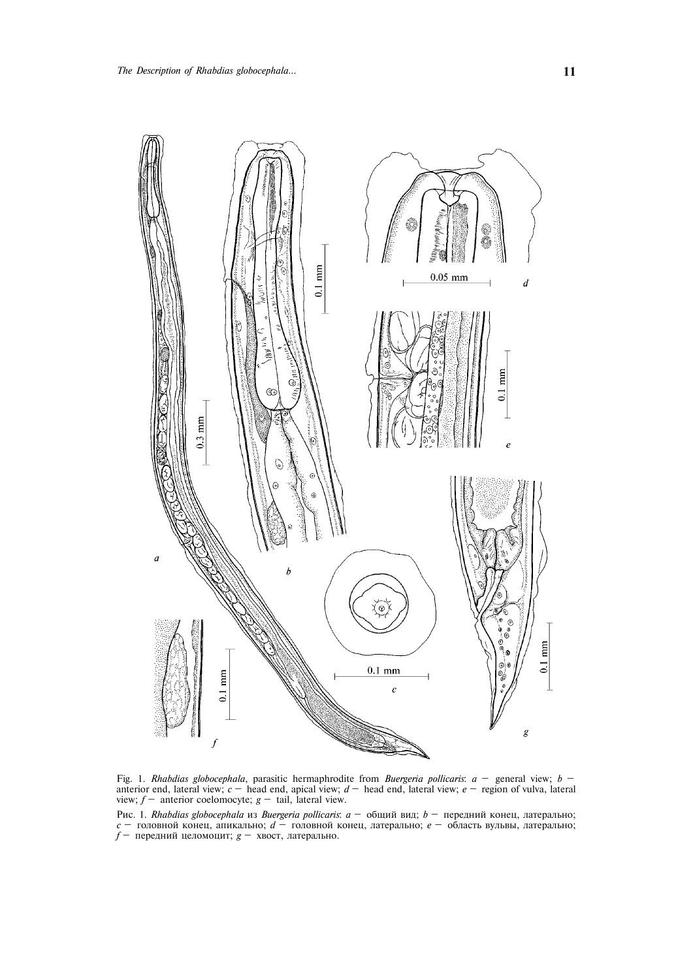

Fig. 1. *Rhabdias globocephala*, parasitic hermaphrodite from *Buergeria pollicaris*: *a* — general view; *b* anterior end, lateral view; *c* — head end, apical view; *d* — head end, lateral view; *e* — region of vulva, lateral view; *f* — anterior coelomocyte; *g* — tail, lateral view.

Pис. 1. *Rhabdias globocephala* из *Buergeria pollicaris*: *a* — общий вид; *b* — передний конец, латерально; *c* — головной конец, апикально; *d* — головной конец, латерально; *e* — область вульвы, латерально; *f* — передний целомоцит; *g* — хвост, латерально.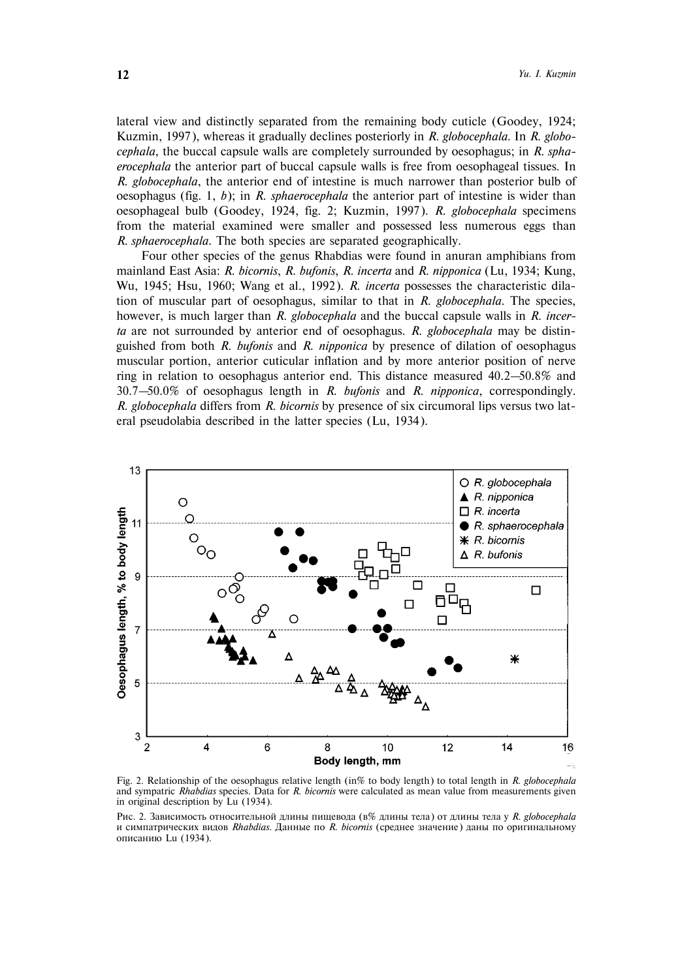lateral view and distinctly separated from the remaining body cuticle (Goodey, 1924; Kuzmin, 1997), whereas it gradually declines posteriorly in *R. globocephala*. In *R. globocephala*, the buccal capsule walls are completely surrounded by oesophagus; in *R. sphaerocephala* the anterior part of buccal capsule walls is free from oesophageal tissues. In *R. globocephala*, the anterior end of intestine is much narrower than posterior bulb of oesophagus (fig. 1, *b*); in *R. sphaerocephala* the anterior part of intestine is wider than oesophageal bulb (Goodey, 1924, fig. 2; Kuzmin, 1997). *R. globocephala* specimens from the material examined were smaller and possessed less numerous eggs than *R. sphaerocephala*. The both species are separated geographically.

Four other species of the genus Rhabdias were found in anuran amphibians from mainland East Asia: *R. bicornis*, *R. bufonis*, *R. incerta* and *R. nipponica* (Lu, 1934; Kung, Wu, 1945; Hsu, 1960; Wang et al., 1992). *R. incerta* possesses the characteristic dilation of muscular part of oesophagus, similar to that in *R. globocephala*. The species, however, is much larger than *R. globocephala* and the buccal capsule walls in *R. incerta* are not surrounded by anterior end of oesophagus. *R. globocephala* may be distinguished from both *R. bufonis* and *R. nipponica* by presence of dilation of oesophagus muscular portion, anterior cuticular inflation and by more anterior position of nerve ring in relation to oesophagus anterior end. This distance measured 40.2–50.8% and 30.7–50.0% of oesophagus length in *R. bufonis* and *R. nipponica*, correspondingly. *R. globocephala* differs from *R. bicornis* by presence of six circumoral lips versus two lateral pseudolabia described in the latter species (Lu, 1934).



Fig. 2. Relationship of the oesophagus relative length (in% to body length) to total length in *R. globocephala* and sympatric *Rhabdias* species. Data for *R. bicornis* were calculated as mean value from measurements given in original description by Lu (1934).

Рис. 2. Зависимость относительной длины пишевода (в% длины тела) от длины тела у R. globocephala и симпатрических видов Rhabdias. Данные по R. bicornis (среднее значение) даны по оригинальному описанию Lu (1934).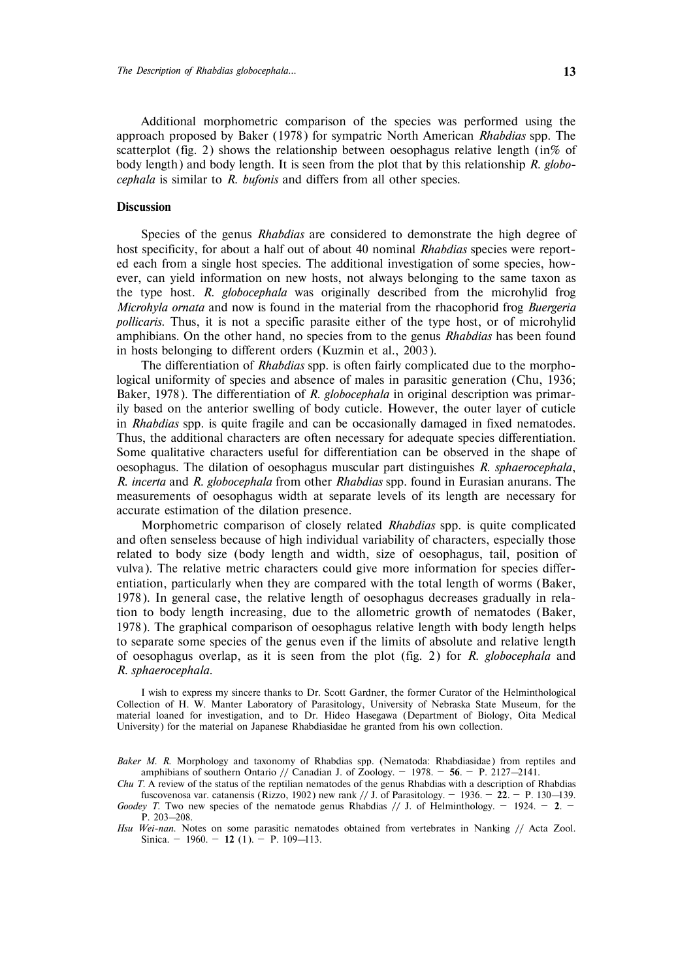Additional morphometric comparison of the species was performed using the approach proposed by Baker (1978) for sympatric North American *Rhabdias* spp. The scatterplot (fig. 2) shows the relationship between oesophagus relative length (in% of body length) and body length. It is seen from the plot that by this relationship *R. globocephala* is similar to *R. bufonis* and differs from all other species.

## **Discussion**

Species of the genus *Rhabdias* are considered to demonstrate the high degree of host specificity, for about a half out of about 40 nominal *Rhabdias* species were reported each from a single host species. The additional investigation of some species, however, can yield information on new hosts, not always belonging to the same taxon as the type host. *R. globocephala* was originally described from the microhylid frog *Microhyla ornata* and now is found in the material from the rhacophorid frog *Buergeria pollicaris*. Thus, it is not a specific parasite either of the type host, or of microhylid amphibians. On the other hand, no species from to the genus *Rhabdias* has been found in hosts belonging to different orders (Kuzmin et al., 2003).

The differentiation of *Rhabdias* spp. is often fairly complicated due to the morphological uniformity of species and absence of males in parasitic generation (Chu, 1936; Baker, 1978). The differentiation of *R. globocephala* in original description was primarily based on the anterior swelling of body cuticle. However, the outer layer of cuticle in *Rhabdias* spp. is quite fragile and can be occasionally damaged in fixed nematodes. Thus, the additional characters are often necessary for adequate species differentiation. Some qualitative characters useful for differentiation can be observed in the shape of oesophagus. The dilation of oesophagus muscular part distinguishes *R. sphaerocephala*, *R. incerta* and *R. globocephala* from other *Rhabdias* spp. found in Eurasian anurans. The measurements of oesophagus width at separate levels of its length are necessary for accurate estimation of the dilation presence.

Morphometric comparison of closely related *Rhabdias* spp. is quite complicated and often senseless because of high individual variability of characters, especially those related to body size (body length and width, size of oesophagus, tail, position of vulva). The relative metric characters could give more information for species differentiation, particularly when they are compared with the total length of worms (Baker, 1978). In general case, the relative length of oesophagus decreases gradually in relation to body length increasing, due to the allometric growth of nematodes (Baker, 1978). The graphical comparison of oesophagus relative length with body length helps to separate some species of the genus even if the limits of absolute and relative length of oesophagus overlap, as it is seen from the plot (fig. 2) for *R. globocephala* and *R. sphaerocephala*.

I wish to express my sincere thanks to Dr. Scott Gardner, the former Curator of the Helminthological Collection of H. W. Manter Laboratory of Parasitology, University of Nebraska State Museum, for the material loaned for investigation, and to Dr. Hideo Hasegawa (Department of Biology, Oita Medical University) for the material on Japanese Rhabdiasidae he granted from his own collection.

*Baker M. R.* Morphology and taxonomy of Rhabdias spp. (Nematoda: Rhabdiasidae) from reptiles and amphibians of southern Ontario // Canadian J. of Zoology. — 1978. — **56**. — P. 2127–2141.

*Chu T.* A review of the status of the reptilian nematodes of the genus Rhabdias with a description of Rhabdias fuscovenosa var. catanensis (Rizzo, 1902) new rank // J. of Parasitology. — 1936. — **22**. — P. 130–139. *Goodey T.* Two new species of the nematode genus Rhabdias  $// J.$  of Helminthology.  $- 1924. - 2.$ 

P. 203–208.

*Hsu Wei-nan.* Notes on some parasitic nematodes obtained from vertebrates in Nanking // Acta Zool. Sinica. – 1960. – 12 (1). – P. 109–113.